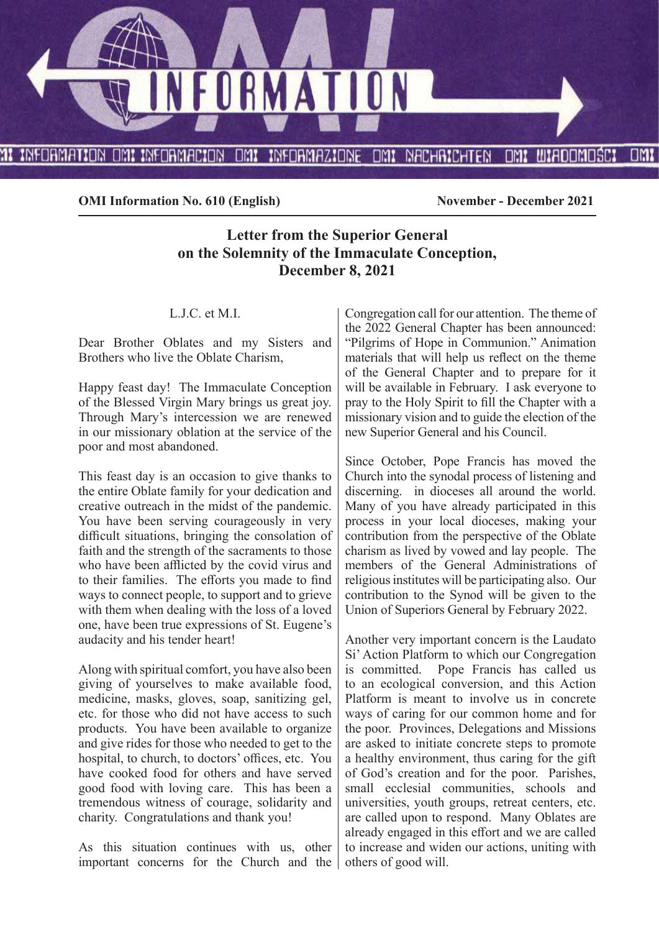

**OMI Information No. 610 (English)** November - December 2021

# **Letter from the Superior General on the Solemnity of the Immaculate Conception, December 8, 2021**

#### L.J.C. et M.I.

Dear Brother Oblates and my Sisters and Brothers who live the Oblate Charism,

Happy feast day! The Immaculate Conception of the Blessed Virgin Mary brings us great joy. Through Mary's intercession we are renewed in our missionary oblation at the service of the poor and most abandoned.

This feast day is an occasion to give thanks to the entire Oblate family for your dedication and creative outreach in the midst of the pandemic. You have been serving courageously in very difficult situations, bringing the consolation of faith and the strength of the sacraments to those who have been afflicted by the covid virus and to their families. The efforts you made to find ways to connect people, to support and to grieve with them when dealing with the loss of a loved one, have been true expressions of St. Eugene's audacity and his tender heart!

Along with spiritual comfort, you have also been giving of yourselves to make available food, medicine, masks, gloves, soap, sanitizing gel, etc. for those who did not have access to such products. You have been available to organize and give rides for those who needed to get to the hospital, to church, to doctors' offices, etc. You have cooked food for others and have served good food with loving care. This has been a tremendous witness of courage, solidarity and charity. Congratulations and thank you!

As this situation continues with us, other important concerns for the Church and the

Congregation call for our attention. The theme of the 2022 General Chapter has been announced: "Pilgrims of Hope in Communion." Animation materials that will help us reflect on the theme of the General Chapter and to prepare for it will be available in February. I ask everyone to pray to the Holy Spirit to fill the Chapter with a missionary vision and to guide the election of the new Superior General and his Council.

Since October, Pope Francis has moved the Church into the synodal process of listening and discerning. in dioceses all around the world. Many of you have already participated in this process in your local dioceses, making your contribution from the perspective of the Oblate charism as lived by vowed and lay people. The members of the General Administrations of religious institutes will be participating also. Our contribution to the Synod will be given to the Union of Superiors General by February 2022.

Another very important concern is the Laudato Si' Action Platform to which our Congregation is committed. Pope Francis has called us to an ecological conversion, and this Action Platform is meant to involve us in concrete ways of caring for our common home and for the poor. Provinces, Delegations and Missions are asked to initiate concrete steps to promote a healthy environment, thus caring for the gift of God's creation and for the poor. Parishes, small ecclesial communities, schools and universities, youth groups, retreat centers, etc. are called upon to respond. Many Oblates are already engaged in this effort and we are called to increase and widen our actions, uniting with others of good will.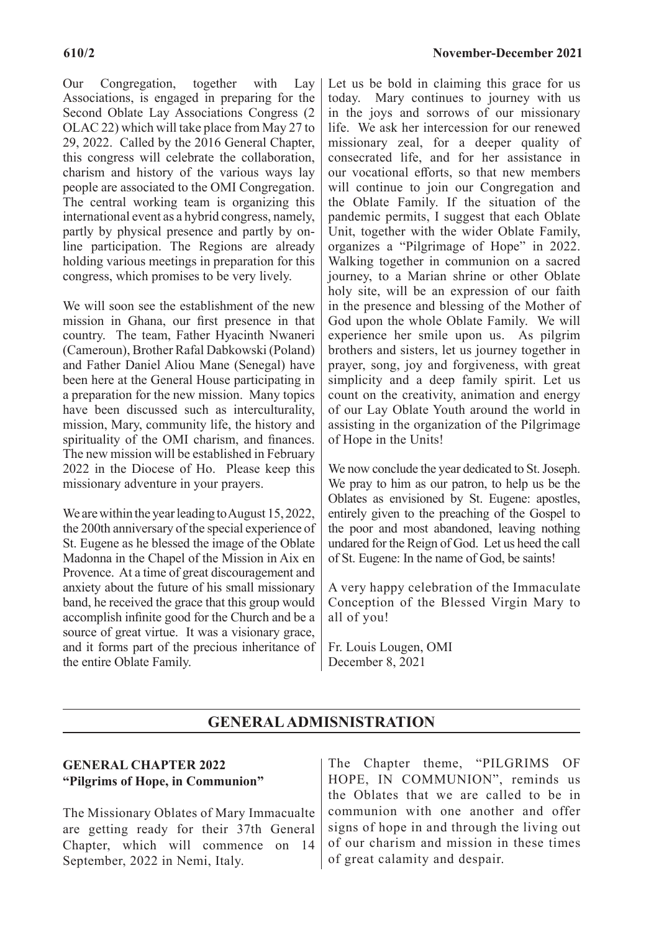Our Congregation, together with Lay Associations, is engaged in preparing for the Second Oblate Lay Associations Congress (2 OLAC 22) which will take place from May 27 to 29, 2022. Called by the 2016 General Chapter, this congress will celebrate the collaboration, charism and history of the various ways lay people are associated to the OMI Congregation. The central working team is organizing this international event as a hybrid congress, namely, partly by physical presence and partly by online participation. The Regions are already holding various meetings in preparation for this congress, which promises to be very lively.

We will soon see the establishment of the new mission in Ghana, our first presence in that country. The team, Father Hyacinth Nwaneri (Cameroun), Brother Rafal Dabkowski (Poland) and Father Daniel Aliou Mane (Senegal) have been here at the General House participating in a preparation for the new mission. Many topics have been discussed such as interculturality, mission, Mary, community life, the history and spirituality of the OMI charism, and finances. The new mission will be established in February 2022 in the Diocese of Ho. Please keep this missionary adventure in your prayers.

We are within the year leading to August 15, 2022, the 200th anniversary of the special experience of St. Eugene as he blessed the image of the Oblate Madonna in the Chapel of the Mission in Aix en Provence. At a time of great discouragement and anxiety about the future of his small missionary band, he received the grace that this group would accomplish infinite good for the Church and be a source of great virtue. It was a visionary grace, and it forms part of the precious inheritance of the entire Oblate Family.

Let us be bold in claiming this grace for us today. Mary continues to journey with us in the joys and sorrows of our missionary life. We ask her intercession for our renewed missionary zeal, for a deeper quality of consecrated life, and for her assistance in our vocational efforts, so that new members will continue to join our Congregation and the Oblate Family. If the situation of the pandemic permits, I suggest that each Oblate Unit, together with the wider Oblate Family, organizes a "Pilgrimage of Hope" in 2022. Walking together in communion on a sacred journey, to a Marian shrine or other Oblate holy site, will be an expression of our faith in the presence and blessing of the Mother of God upon the whole Oblate Family. We will experience her smile upon us. As pilgrim brothers and sisters, let us journey together in prayer, song, joy and forgiveness, with great simplicity and a deep family spirit. Let us count on the creativity, animation and energy of our Lay Oblate Youth around the world in assisting in the organization of the Pilgrimage of Hope in the Units!

We now conclude the year dedicated to St. Joseph. We pray to him as our patron, to help us be the Oblates as envisioned by St. Eugene: apostles, entirely given to the preaching of the Gospel to the poor and most abandoned, leaving nothing undared for the Reign of God. Let us heed the call of St. Eugene: In the name of God, be saints!

A very happy celebration of the Immaculate Conception of the Blessed Virgin Mary to all of you!

Fr. Louis Lougen, OMI December 8, 2021

# **GENERAL ADMISNISTRATION**

# **GENERAL CHAPTER 2022 "Pilgrims of Hope, in Communion"**

The Missionary Oblates of Mary Immacualte are getting ready for their 37th General Chapter, which will commence on 14 September, 2022 in Nemi, Italy.

The Chapter theme, "PILGRIMS OF HOPE, IN COMMUNION", reminds us the Oblates that we are called to be in communion with one another and offer signs of hope in and through the living out of our charism and mission in these times of great calamity and despair.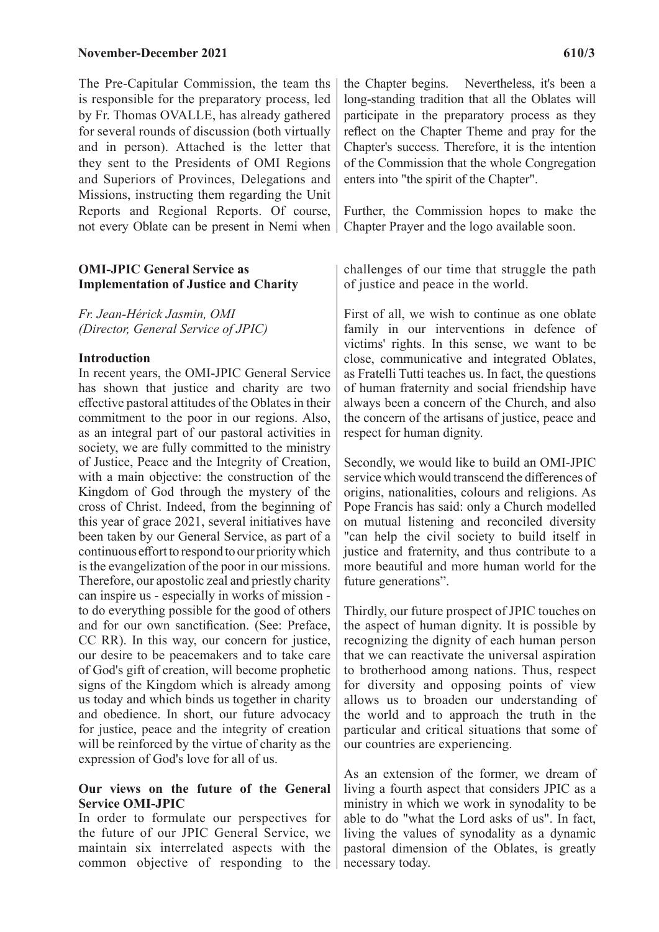#### **November-December 2021** 610/3

The Pre-Capitular Commission, the team ths is responsible for the preparatory process, led by Fr. Thomas OVALLE, has already gathered for several rounds of discussion (both virtually and in person). Attached is the letter that they sent to the Presidents of OMI Regions and Superiors of Provinces, Delegations and Missions, instructing them regarding the Unit Reports and Regional Reports. Of course, not every Oblate can be present in Nemi when

#### **OMI-JPIC General Service as Implementation of Justice and Charity**

*Fr. Jean-Hérick Jasmin, OMI (Director, General Service of JPIC)*

#### **Introduction**

In recent years, the OMI-JPIC General Service has shown that justice and charity are two effective pastoral attitudes of the Oblates in their commitment to the poor in our regions. Also, as an integral part of our pastoral activities in society, we are fully committed to the ministry of Justice, Peace and the Integrity of Creation, with a main objective: the construction of the Kingdom of God through the mystery of the cross of Christ. Indeed, from the beginning of this year of grace 2021, several initiatives have been taken by our General Service, as part of a continuous effort to respond to our priority which is the evangelization of the poor in our missions. Therefore, our apostolic zeal and priestly charity can inspire us - especially in works of mission to do everything possible for the good of others and for our own sanctification. (See: Preface, CC RR). In this way, our concern for justice, our desire to be peacemakers and to take care of God's gift of creation, will become prophetic signs of the Kingdom which is already among us today and which binds us together in charity and obedience. In short, our future advocacy for justice, peace and the integrity of creation will be reinforced by the virtue of charity as the expression of God's love for all of us.

#### **Our views on the future of the General Service OMI-JPIC**

In order to formulate our perspectives for the future of our JPIC General Service, we maintain six interrelated aspects with the common objective of responding to the the Chapter begins. Nevertheless, it's been a long-standing tradition that all the Oblates will participate in the preparatory process as they reflect on the Chapter Theme and pray for the Chapter's success. Therefore, it is the intention of the Commission that the whole Congregation enters into "the spirit of the Chapter".

Further, the Commission hopes to make the Chapter Prayer and the logo available soon.

challenges of our time that struggle the path of justice and peace in the world.

First of all, we wish to continue as one oblate family in our interventions in defence of victims' rights. In this sense, we want to be close, communicative and integrated Oblates, as Fratelli Tutti teaches us. In fact, the questions of human fraternity and social friendship have always been a concern of the Church, and also the concern of the artisans of justice, peace and respect for human dignity.

Secondly, we would like to build an OMI-JPIC service which would transcend the differences of origins, nationalities, colours and religions. As Pope Francis has said: only a Church modelled on mutual listening and reconciled diversity "can help the civil society to build itself in justice and fraternity, and thus contribute to a more beautiful and more human world for the future generations".

Thirdly, our future prospect of JPIC touches on the aspect of human dignity. It is possible by recognizing the dignity of each human person that we can reactivate the universal aspiration to brotherhood among nations. Thus, respect for diversity and opposing points of view allows us to broaden our understanding of the world and to approach the truth in the particular and critical situations that some of our countries are experiencing.

As an extension of the former, we dream of living a fourth aspect that considers JPIC as a ministry in which we work in synodality to be able to do "what the Lord asks of us". In fact, living the values of synodality as a dynamic pastoral dimension of the Oblates, is greatly necessary today.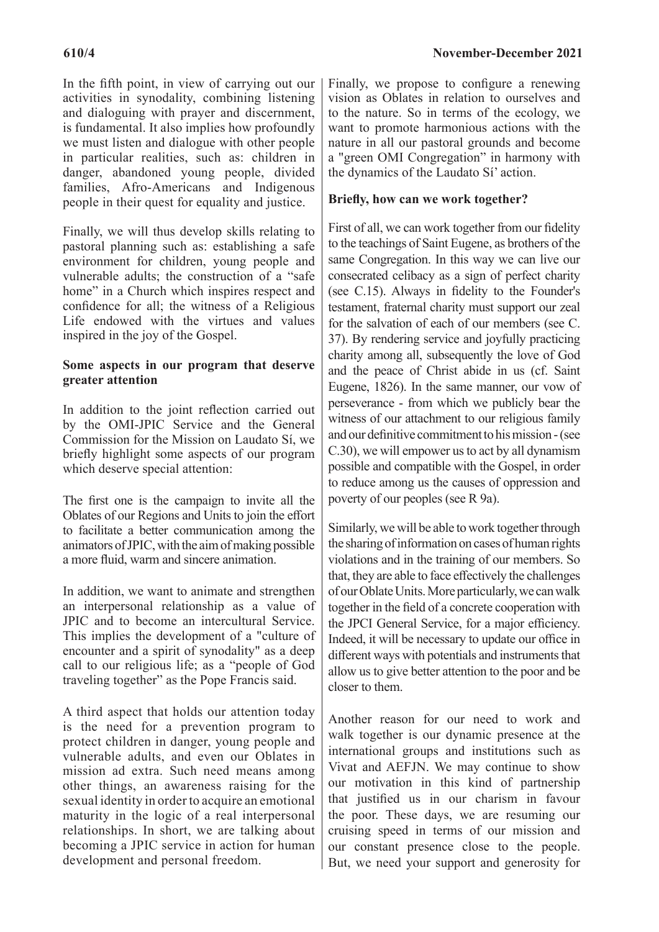In the fifth point, in view of carrying out our activities in synodality, combining listening and dialoguing with prayer and discernment, is fundamental. It also implies how profoundly we must listen and dialogue with other people in particular realities, such as: children in danger, abandoned young people, divided families, Afro-Americans and Indigenous people in their quest for equality and justice.

Finally, we will thus develop skills relating to pastoral planning such as: establishing a safe environment for children, young people and vulnerable adults; the construction of a "safe home" in a Church which inspires respect and confidence for all; the witness of a Religious Life endowed with the virtues and values inspired in the joy of the Gospel.

#### **Some aspects in our program that deserve greater attention**

In addition to the joint reflection carried out by the OMI-JPIC Service and the General Commission for the Mission on Laudato Sí, we briefly highlight some aspects of our program which deserve special attention:

The first one is the campaign to invite all the Oblates of our Regions and Units to join the effort to facilitate a better communication among the animators of JPIC, with the aim of making possible a more fluid, warm and sincere animation.

In addition, we want to animate and strengthen an interpersonal relationship as a value of JPIC and to become an intercultural Service. This implies the development of a "culture of encounter and a spirit of synodality" as a deep call to our religious life; as a "people of God traveling together" as the Pope Francis said.

A third aspect that holds our attention today is the need for a prevention program to protect children in danger, young people and vulnerable adults, and even our Oblates in mission ad extra. Such need means among other things, an awareness raising for the sexual identity in order to acquire an emotional maturity in the logic of a real interpersonal relationships. In short, we are talking about becoming a JPIC service in action for human development and personal freedom.

Finally, we propose to configure a renewing vision as Oblates in relation to ourselves and to the nature. So in terms of the ecology, we want to promote harmonious actions with the nature in all our pastoral grounds and become a "green OMI Congregation" in harmony with the dynamics of the Laudato Sí' action.

#### **Briefly, how can we work together?**

First of all, we can work together from our fidelity to the teachings of Saint Eugene, as brothers of the same Congregation. In this way we can live our consecrated celibacy as a sign of perfect charity (see C.15). Always in fidelity to the Founder's testament, fraternal charity must support our zeal for the salvation of each of our members (see C. 37). By rendering service and joyfully practicing charity among all, subsequently the love of God and the peace of Christ abide in us (cf. Saint Eugene, 1826). In the same manner, our vow of perseverance - from which we publicly bear the witness of our attachment to our religious family and our definitive commitment to his mission - (see C.30), we will empower us to act by all dynamism possible and compatible with the Gospel, in order to reduce among us the causes of oppression and poverty of our peoples (see R 9a).

Similarly, we will be able to work together through the sharing of information on cases of human rights violations and in the training of our members. So that, they are able to face effectively the challenges of our Oblate Units. More particularly, we can walk together in the field of a concrete cooperation with the JPCI General Service, for a major efficiency. Indeed, it will be necessary to update our office in different ways with potentials and instruments that allow us to give better attention to the poor and be closer to them.

Another reason for our need to work and walk together is our dynamic presence at the international groups and institutions such as Vivat and AEFJN. We may continue to show our motivation in this kind of partnership that justified us in our charism in favour the poor. These days, we are resuming our cruising speed in terms of our mission and our constant presence close to the people. But, we need your support and generosity for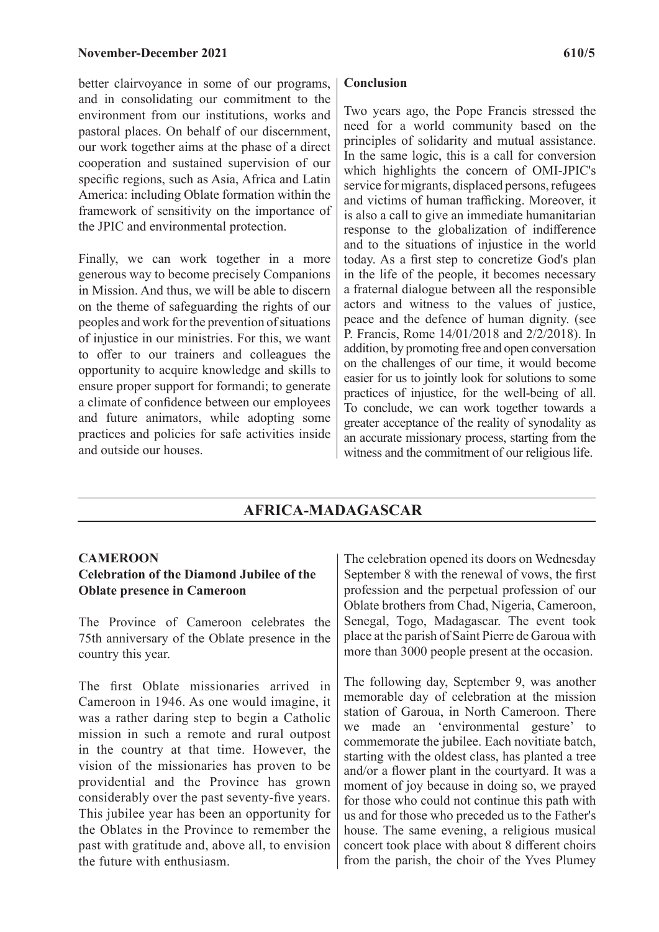better clairvoyance in some of our programs, and in consolidating our commitment to the environment from our institutions, works and pastoral places. On behalf of our discernment, our work together aims at the phase of a direct cooperation and sustained supervision of our specific regions, such as Asia, Africa and Latin America: including Oblate formation within the framework of sensitivity on the importance of the JPIC and environmental protection.

Finally, we can work together in a more generous way to become precisely Companions in Mission. And thus, we will be able to discern on the theme of safeguarding the rights of our peoples and work for the prevention of situations of injustice in our ministries. For this, we want to offer to our trainers and colleagues the opportunity to acquire knowledge and skills to ensure proper support for formandi; to generate a climate of confidence between our employees and future animators, while adopting some practices and policies for safe activities inside and outside our houses.

#### **Conclusion**

Two years ago, the Pope Francis stressed the need for a world community based on the principles of solidarity and mutual assistance. In the same logic, this is a call for conversion which highlights the concern of OMI-JPIC's service for migrants, displaced persons, refugees and victims of human trafficking. Moreover, it is also a call to give an immediate humanitarian response to the globalization of indifference and to the situations of injustice in the world today. As a first step to concretize God's plan in the life of the people, it becomes necessary a fraternal dialogue between all the responsible actors and witness to the values of justice, peace and the defence of human dignity. (see P. Francis, Rome 14/01/2018 and 2/2/2018). In addition, by promoting free and open conversation on the challenges of our time, it would become easier for us to jointly look for solutions to some practices of injustice, for the well-being of all. To conclude, we can work together towards a greater acceptance of the reality of synodality as an accurate missionary process, starting from the witness and the commitment of our religious life.

# **AFRICA-MADAGASCAR**

#### **CAMEROON**

### **Celebration of the Diamond Jubilee of the Oblate presence in Cameroon**

The Province of Cameroon celebrates the 75th anniversary of the Oblate presence in the country this year.

The first Oblate missionaries arrived in Cameroon in 1946. As one would imagine, it was a rather daring step to begin a Catholic mission in such a remote and rural outpost in the country at that time. However, the vision of the missionaries has proven to be providential and the Province has grown considerably over the past seventy-five years. This jubilee year has been an opportunity for the Oblates in the Province to remember the past with gratitude and, above all, to envision the future with enthusiasm.

The celebration opened its doors on Wednesday September 8 with the renewal of vows, the first profession and the perpetual profession of our Oblate brothers from Chad, Nigeria, Cameroon, Senegal, Togo, Madagascar. The event took place at the parish of Saint Pierre de Garoua with more than 3000 people present at the occasion.

The following day, September 9, was another memorable day of celebration at the mission station of Garoua, in North Cameroon. There we made an 'environmental gesture' to commemorate the jubilee. Each novitiate batch, starting with the oldest class, has planted a tree and/or a flower plant in the courtyard. It was a moment of joy because in doing so, we prayed for those who could not continue this path with us and for those who preceded us to the Father's house. The same evening, a religious musical concert took place with about 8 different choirs from the parish, the choir of the Yves Plumey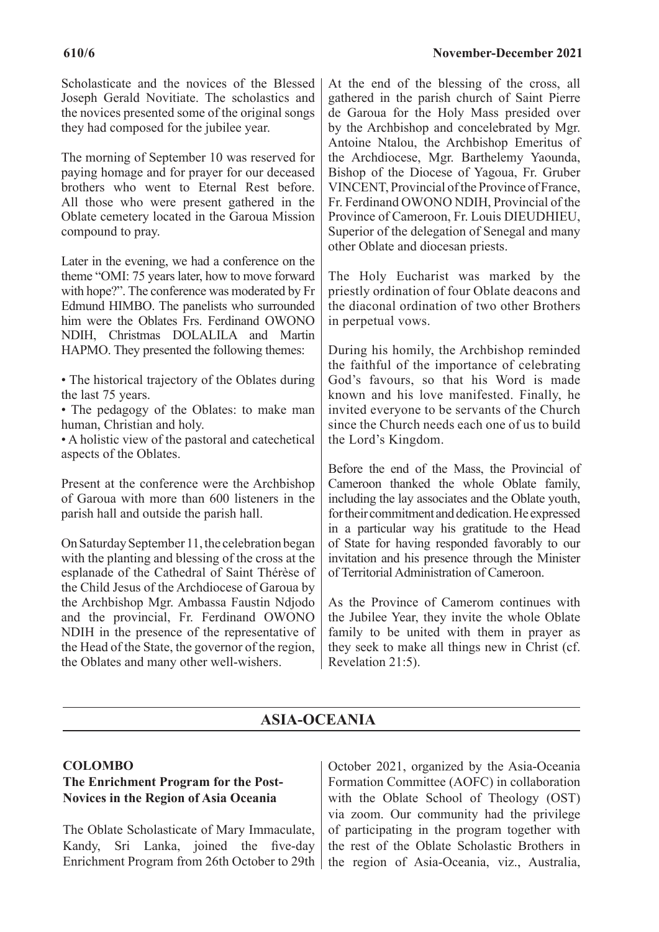#### **610/6 November-December 2021**

Scholasticate and the novices of the Blessed Joseph Gerald Novitiate. The scholastics and the novices presented some of the original songs they had composed for the jubilee year.

The morning of September 10 was reserved for paying homage and for prayer for our deceased brothers who went to Eternal Rest before. All those who were present gathered in the Oblate cemetery located in the Garoua Mission compound to pray.

Later in the evening, we had a conference on the theme "OMI: 75 years later, how to move forward with hope?". The conference was moderated by Fr Edmund HIMBO. The panelists who surrounded him were the Oblates Frs. Ferdinand OWONO NDIH, Christmas DOLALILA and Martin HAPMO. They presented the following themes:

• The historical trajectory of the Oblates during the last 75 years.

• The pedagogy of the Oblates: to make man human, Christian and holy.

• A holistic view of the pastoral and catechetical aspects of the Oblates.

Present at the conference were the Archbishop of Garoua with more than 600 listeners in the parish hall and outside the parish hall.

On Saturday September 11, the celebration began with the planting and blessing of the cross at the esplanade of the Cathedral of Saint Thérèse of the Child Jesus of the Archdiocese of Garoua by the Archbishop Mgr. Ambassa Faustin Ndjodo and the provincial, Fr. Ferdinand OWONO NDIH in the presence of the representative of the Head of the State, the governor of the region, the Oblates and many other well-wishers.

At the end of the blessing of the cross, all gathered in the parish church of Saint Pierre de Garoua for the Holy Mass presided over by the Archbishop and concelebrated by Mgr. Antoine Ntalou, the Archbishop Emeritus of the Archdiocese, Mgr. Barthelemy Yaounda, Bishop of the Diocese of Yagoua, Fr. Gruber VINCENT, Provincial of the Province of France, Fr. Ferdinand OWONO NDIH, Provincial of the Province of Cameroon, Fr. Louis DIEUDHIEU, Superior of the delegation of Senegal and many other Oblate and diocesan priests.

The Holy Eucharist was marked by the priestly ordination of four Oblate deacons and the diaconal ordination of two other Brothers in perpetual vows.

During his homily, the Archbishop reminded the faithful of the importance of celebrating God's favours, so that his Word is made known and his love manifested. Finally, he invited everyone to be servants of the Church since the Church needs each one of us to build the Lord's Kingdom.

Before the end of the Mass, the Provincial of Cameroon thanked the whole Oblate family, including the lay associates and the Oblate youth, for their commitment and dedication. He expressed in a particular way his gratitude to the Head of State for having responded favorably to our invitation and his presence through the Minister of Territorial Administration of Cameroon.

As the Province of Camerom continues with the Jubilee Year, they invite the whole Oblate family to be united with them in prayer as they seek to make all things new in Christ (cf. Revelation 21:5).

# **ASIA-OCEANIA**

### **COLOMBO**

# **The Enrichment Program for the Post-Novices in the Region of Asia Oceania**

The Oblate Scholasticate of Mary Immaculate, Kandy, Sri Lanka, joined the five-day Enrichment Program from 26th October to 29th | the region of Asia-Oceania, viz., Australia,

October 2021, organized by the Asia-Oceania Formation Committee (AOFC) in collaboration with the Oblate School of Theology (OST) via zoom. Our community had the privilege of participating in the program together with the rest of the Oblate Scholastic Brothers in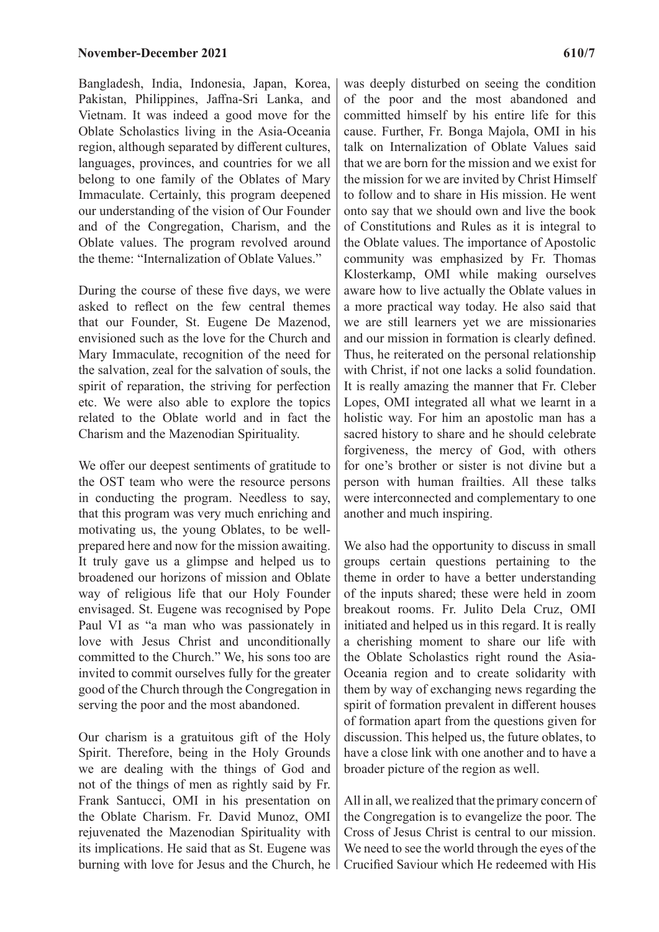Bangladesh, India, Indonesia, Japan, Korea, Pakistan, Philippines, Jaffna-Sri Lanka, and Vietnam. It was indeed a good move for the Oblate Scholastics living in the Asia-Oceania region, although separated by different cultures, languages, provinces, and countries for we all belong to one family of the Oblates of Mary Immaculate. Certainly, this program deepened our understanding of the vision of Our Founder and of the Congregation, Charism, and the Oblate values. The program revolved around the theme: "Internalization of Oblate Values."

During the course of these five days, we were asked to reflect on the few central themes that our Founder, St. Eugene De Mazenod, envisioned such as the love for the Church and Mary Immaculate, recognition of the need for the salvation, zeal for the salvation of souls, the spirit of reparation, the striving for perfection etc. We were also able to explore the topics related to the Oblate world and in fact the Charism and the Mazenodian Spirituality.

We offer our deepest sentiments of gratitude to the OST team who were the resource persons in conducting the program. Needless to say, that this program was very much enriching and motivating us, the young Oblates, to be wellprepared here and now for the mission awaiting. It truly gave us a glimpse and helped us to broadened our horizons of mission and Oblate way of religious life that our Holy Founder envisaged. St. Eugene was recognised by Pope Paul VI as "a man who was passionately in love with Jesus Christ and unconditionally committed to the Church." We, his sons too are invited to commit ourselves fully for the greater good of the Church through the Congregation in serving the poor and the most abandoned.

Our charism is a gratuitous gift of the Holy Spirit. Therefore, being in the Holy Grounds we are dealing with the things of God and not of the things of men as rightly said by Fr. Frank Santucci, OMI in his presentation on the Oblate Charism. Fr. David Munoz, OMI rejuvenated the Mazenodian Spirituality with its implications. He said that as St. Eugene was burning with love for Jesus and the Church, he was deeply disturbed on seeing the condition of the poor and the most abandoned and committed himself by his entire life for this cause. Further, Fr. Bonga Majola, OMI in his talk on Internalization of Oblate Values said that we are born for the mission and we exist for the mission for we are invited by Christ Himself to follow and to share in His mission. He went onto say that we should own and live the book of Constitutions and Rules as it is integral to the Oblate values. The importance of Apostolic community was emphasized by Fr. Thomas Klosterkamp, OMI while making ourselves aware how to live actually the Oblate values in a more practical way today. He also said that we are still learners yet we are missionaries and our mission in formation is clearly defined. Thus, he reiterated on the personal relationship with Christ, if not one lacks a solid foundation. It is really amazing the manner that Fr. Cleber Lopes, OMI integrated all what we learnt in a holistic way. For him an apostolic man has a sacred history to share and he should celebrate forgiveness, the mercy of God, with others for one's brother or sister is not divine but a person with human frailties. All these talks were interconnected and complementary to one another and much inspiring.

We also had the opportunity to discuss in small groups certain questions pertaining to the theme in order to have a better understanding of the inputs shared; these were held in zoom breakout rooms. Fr. Julito Dela Cruz, OMI initiated and helped us in this regard. It is really a cherishing moment to share our life with the Oblate Scholastics right round the Asia-Oceania region and to create solidarity with them by way of exchanging news regarding the spirit of formation prevalent in different houses of formation apart from the questions given for discussion. This helped us, the future oblates, to have a close link with one another and to have a broader picture of the region as well.

All in all, we realized that the primary concern of the Congregation is to evangelize the poor. The Cross of Jesus Christ is central to our mission. We need to see the world through the eyes of the Crucified Saviour which He redeemed with His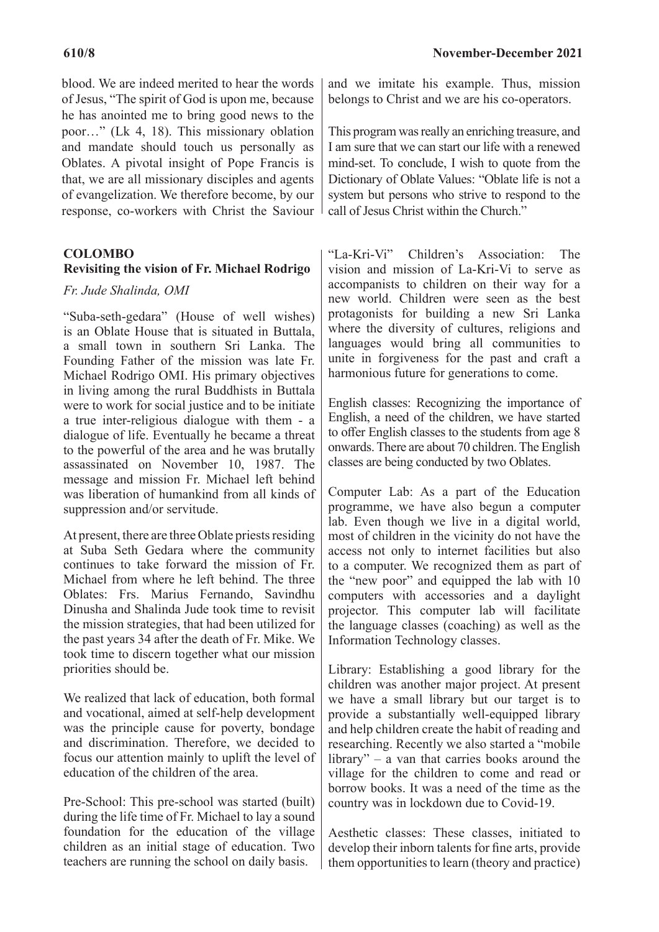blood. We are indeed merited to hear the words of Jesus, "The spirit of God is upon me, because he has anointed me to bring good news to the poor…" (Lk 4, 18). This missionary oblation and mandate should touch us personally as Oblates. A pivotal insight of Pope Francis is that, we are all missionary disciples and agents of evangelization. We therefore become, by our response, co-workers with Christ the Saviour

### **COLOMBO**

#### **Revisiting the vision of Fr. Michael Rodrigo**

#### *Fr. Jude Shalinda, OMI*

"Suba-seth-gedara" (House of well wishes) is an Oblate House that is situated in Buttala, a small town in southern Sri Lanka. The Founding Father of the mission was late Fr. Michael Rodrigo OMI. His primary objectives in living among the rural Buddhists in Buttala were to work for social justice and to be initiate a true inter-religious dialogue with them - a dialogue of life. Eventually he became a threat to the powerful of the area and he was brutally assassinated on November 10, 1987. The message and mission Fr. Michael left behind was liberation of humankind from all kinds of suppression and/or servitude.

At present, there are three Oblate priests residing at Suba Seth Gedara where the community continues to take forward the mission of Fr. Michael from where he left behind. The three Oblates: Frs. Marius Fernando, Savindhu Dinusha and Shalinda Jude took time to revisit the mission strategies, that had been utilized for the past years 34 after the death of Fr. Mike. We took time to discern together what our mission priorities should be.

We realized that lack of education, both formal and vocational, aimed at self-help development was the principle cause for poverty, bondage and discrimination. Therefore, we decided to focus our attention mainly to uplift the level of education of the children of the area.

Pre-School: This pre-school was started (built) during the life time of Fr. Michael to lay a sound foundation for the education of the village children as an initial stage of education. Two teachers are running the school on daily basis.

and we imitate his example. Thus, mission belongs to Christ and we are his co-operators.

This program was really an enriching treasure, and I am sure that we can start our life with a renewed mind-set. To conclude, I wish to quote from the Dictionary of Oblate Values: "Oblate life is not a system but persons who strive to respond to the call of Jesus Christ within the Church."

"La-Kri-Vi" Children's Association: The vision and mission of La-Kri-Vi to serve as accompanists to children on their way for a new world. Children were seen as the best protagonists for building a new Sri Lanka where the diversity of cultures, religions and languages would bring all communities to unite in forgiveness for the past and craft a harmonious future for generations to come.

English classes: Recognizing the importance of English, a need of the children, we have started to offer English classes to the students from age 8 onwards. There are about 70 children. The English classes are being conducted by two Oblates.

Computer Lab: As a part of the Education programme, we have also begun a computer lab. Even though we live in a digital world, most of children in the vicinity do not have the access not only to internet facilities but also to a computer. We recognized them as part of the "new poor" and equipped the lab with 10 computers with accessories and a daylight projector. This computer lab will facilitate the language classes (coaching) as well as the Information Technology classes.

Library: Establishing a good library for the children was another major project. At present we have a small library but our target is to provide a substantially well-equipped library and help children create the habit of reading and researching. Recently we also started a "mobile library" – a van that carries books around the village for the children to come and read or borrow books. It was a need of the time as the country was in lockdown due to Covid-19.

Aesthetic classes: These classes, initiated to develop their inborn talents for fine arts, provide them opportunities to learn (theory and practice)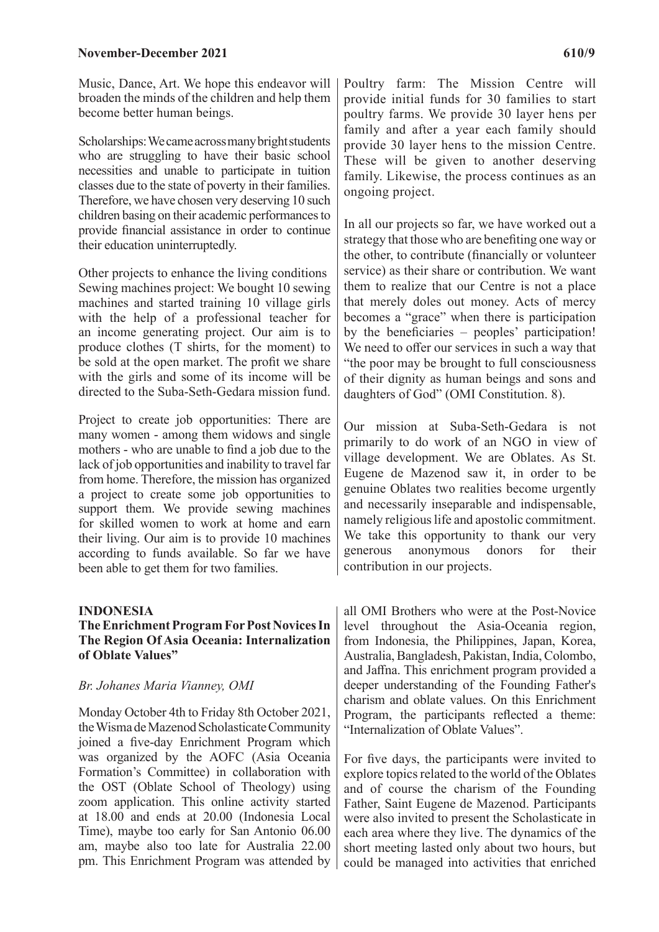#### **November-December 2021** 610/9

Music, Dance, Art. We hope this endeavor will broaden the minds of the children and help them become better human beings.

Scholarships: We came across many bright students who are struggling to have their basic school necessities and unable to participate in tuition classes due to the state of poverty in their families. Therefore, we have chosen very deserving 10 such children basing on their academic performances to provide financial assistance in order to continue their education uninterruptedly.

Other projects to enhance the living conditions Sewing machines project: We bought 10 sewing machines and started training 10 village girls with the help of a professional teacher for an income generating project. Our aim is to produce clothes (T shirts, for the moment) to be sold at the open market. The profit we share with the girls and some of its income will be directed to the Suba-Seth-Gedara mission fund.

Project to create job opportunities: There are many women - among them widows and single mothers - who are unable to find a job due to the lack of job opportunities and inability to travel far from home. Therefore, the mission has organized a project to create some job opportunities to support them. We provide sewing machines for skilled women to work at home and earn their living. Our aim is to provide 10 machines according to funds available. So far we have been able to get them for two families.

#### **INDONESIA**

#### **The Enrichment Program For Post Novices In The Region Of Asia Oceania: Internalization of Oblate Values"**

#### *Br. Johanes Maria Vianney, OMI*

Monday October 4th to Friday 8th October 2021, the Wisma de Mazenod Scholasticate Community joined a five-day Enrichment Program which was organized by the AOFC (Asia Oceania Formation's Committee) in collaboration with the OST (Oblate School of Theology) using zoom application. This online activity started at 18.00 and ends at 20.00 (Indonesia Local Time), maybe too early for San Antonio 06.00 am, maybe also too late for Australia 22.00 pm. This Enrichment Program was attended by Poultry farm: The Mission Centre will provide initial funds for 30 families to start poultry farms. We provide 30 layer hens per family and after a year each family should provide 30 layer hens to the mission Centre. These will be given to another deserving family. Likewise, the process continues as an ongoing project.

In all our projects so far, we have worked out a strategy that those who are benefiting one way or the other, to contribute (financially or volunteer service) as their share or contribution. We want them to realize that our Centre is not a place that merely doles out money. Acts of mercy becomes a "grace" when there is participation by the beneficiaries – peoples' participation! We need to offer our services in such a way that "the poor may be brought to full consciousness of their dignity as human beings and sons and daughters of God" (OMI Constitution. 8).

Our mission at Suba-Seth-Gedara is not primarily to do work of an NGO in view of village development. We are Oblates. As St. Eugene de Mazenod saw it, in order to be genuine Oblates two realities become urgently and necessarily inseparable and indispensable, namely religious life and apostolic commitment. We take this opportunity to thank our very generous anonymous donors for their contribution in our projects.

all OMI Brothers who were at the Post-Novice level throughout the Asia-Oceania region, from Indonesia, the Philippines, Japan, Korea, Australia, Bangladesh, Pakistan, India, Colombo, and Jaffna. This enrichment program provided a deeper understanding of the Founding Father's charism and oblate values. On this Enrichment Program, the participants reflected a theme: "Internalization of Oblate Values".

For five days, the participants were invited to explore topics related to the world of the Oblates and of course the charism of the Founding Father, Saint Eugene de Mazenod. Participants were also invited to present the Scholasticate in each area where they live. The dynamics of the short meeting lasted only about two hours, but could be managed into activities that enriched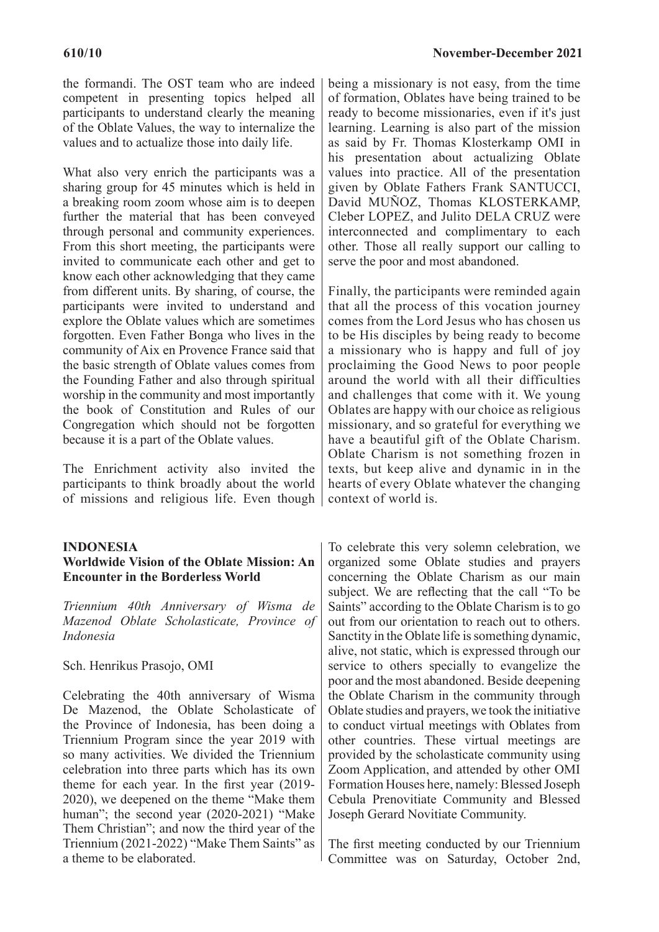the formandi. The OST team who are indeed competent in presenting topics helped all participants to understand clearly the meaning of the Oblate Values, the way to internalize the values and to actualize those into daily life.

What also very enrich the participants was a sharing group for 45 minutes which is held in a breaking room zoom whose aim is to deepen further the material that has been conveyed through personal and community experiences. From this short meeting, the participants were invited to communicate each other and get to know each other acknowledging that they came from different units. By sharing, of course, the participants were invited to understand and explore the Oblate values which are sometimes forgotten. Even Father Bonga who lives in the community of Aix en Provence France said that the basic strength of Oblate values comes from the Founding Father and also through spiritual worship in the community and most importantly the book of Constitution and Rules of our Congregation which should not be forgotten because it is a part of the Oblate values.

The Enrichment activity also invited the participants to think broadly about the world of missions and religious life. Even though

#### **INDONESIA**

### **Worldwide Vision of the Oblate Mission: An Encounter in the Borderless World**

*Triennium 40th Anniversary of Wisma de Mazenod Oblate Scholasticate, Province of Indonesia*

#### Sch. Henrikus Prasojo, OMI

Celebrating the 40th anniversary of Wisma De Mazenod, the Oblate Scholasticate of the Province of Indonesia, has been doing a Triennium Program since the year 2019 with so many activities. We divided the Triennium celebration into three parts which has its own theme for each year. In the first year (2019- 2020), we deepened on the theme "Make them human"; the second year (2020-2021) "Make Them Christian"; and now the third year of the Triennium (2021-2022) "Make Them Saints" as a theme to be elaborated.

being a missionary is not easy, from the time of formation, Oblates have being trained to be ready to become missionaries, even if it's just learning. Learning is also part of the mission as said by Fr. Thomas Klosterkamp OMI in his presentation about actualizing Oblate values into practice. All of the presentation given by Oblate Fathers Frank SANTUCCI, David MUÑOZ, Thomas KLOSTERKAMP, Cleber LOPEZ, and Julito DELA CRUZ were interconnected and complimentary to each other. Those all really support our calling to serve the poor and most abandoned.

Finally, the participants were reminded again that all the process of this vocation journey comes from the Lord Jesus who has chosen us to be His disciples by being ready to become a missionary who is happy and full of joy proclaiming the Good News to poor people around the world with all their difficulties and challenges that come with it. We young Oblates are happy with our choice as religious missionary, and so grateful for everything we have a beautiful gift of the Oblate Charism. Oblate Charism is not something frozen in texts, but keep alive and dynamic in in the hearts of every Oblate whatever the changing context of world is.

To celebrate this very solemn celebration, we organized some Oblate studies and prayers concerning the Oblate Charism as our main subject. We are reflecting that the call "To be Saints" according to the Oblate Charism is to go out from our orientation to reach out to others. Sanctity in the Oblate life is something dynamic, alive, not static, which is expressed through our service to others specially to evangelize the poor and the most abandoned. Beside deepening the Oblate Charism in the community through Oblate studies and prayers, we took the initiative to conduct virtual meetings with Oblates from other countries. These virtual meetings are provided by the scholasticate community using Zoom Application, and attended by other OMI Formation Houses here, namely: Blessed Joseph Cebula Prenovitiate Community and Blessed Joseph Gerard Novitiate Community.

The first meeting conducted by our Triennium Committee was on Saturday, October 2nd,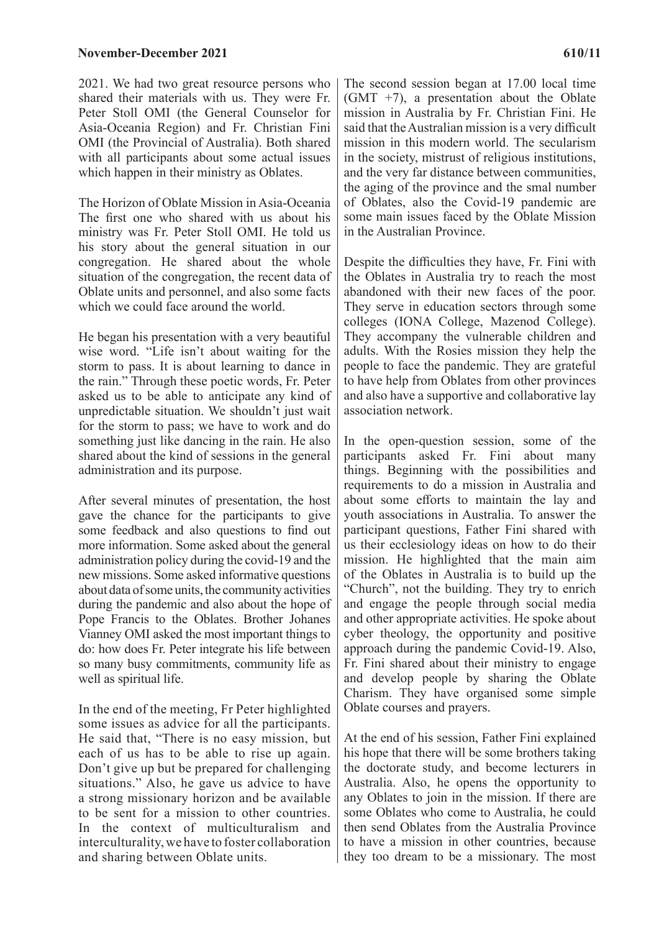2021. We had two great resource persons who shared their materials with us. They were Fr. Peter Stoll OMI (the General Counselor for Asia-Oceania Region) and Fr. Christian Fini OMI (the Provincial of Australia). Both shared with all participants about some actual issues which happen in their ministry as Oblates.

The Horizon of Oblate Mission in Asia-Oceania The first one who shared with us about his ministry was Fr. Peter Stoll OMI. He told us his story about the general situation in our congregation. He shared about the whole situation of the congregation, the recent data of Oblate units and personnel, and also some facts which we could face around the world.

He began his presentation with a very beautiful wise word. "Life isn't about waiting for the storm to pass. It is about learning to dance in the rain." Through these poetic words, Fr. Peter asked us to be able to anticipate any kind of unpredictable situation. We shouldn't just wait for the storm to pass; we have to work and do something just like dancing in the rain. He also shared about the kind of sessions in the general administration and its purpose.

After several minutes of presentation, the host gave the chance for the participants to give some feedback and also questions to find out more information. Some asked about the general administration policy during the covid-19 and the new missions. Some asked informative questions about data of some units, the community activities during the pandemic and also about the hope of Pope Francis to the Oblates. Brother Johanes Vianney OMI asked the most important things to do: how does Fr. Peter integrate his life between so many busy commitments, community life as well as spiritual life.

In the end of the meeting, Fr Peter highlighted some issues as advice for all the participants. He said that, "There is no easy mission, but each of us has to be able to rise up again. Don't give up but be prepared for challenging situations." Also, he gave us advice to have a strong missionary horizon and be available to be sent for a mission to other countries. In the context of multiculturalism and interculturality, we have to foster collaboration and sharing between Oblate units.

The second session began at 17.00 local time  $(GMT +7)$ , a presentation about the Oblate mission in Australia by Fr. Christian Fini. He said that the Australian mission is a very difficult mission in this modern world. The secularism in the society, mistrust of religious institutions, and the very far distance between communities, the aging of the province and the smal number of Oblates, also the Covid-19 pandemic are some main issues faced by the Oblate Mission in the Australian Province.

Despite the difficulties they have, Fr. Fini with the Oblates in Australia try to reach the most abandoned with their new faces of the poor. They serve in education sectors through some colleges (IONA College, Mazenod College). They accompany the vulnerable children and adults. With the Rosies mission they help the people to face the pandemic. They are grateful to have help from Oblates from other provinces and also have a supportive and collaborative lay association network.

In the open-question session, some of the participants asked Fr. Fini about many things. Beginning with the possibilities and requirements to do a mission in Australia and about some efforts to maintain the lay and youth associations in Australia. To answer the participant questions, Father Fini shared with us their ecclesiology ideas on how to do their mission. He highlighted that the main aim of the Oblates in Australia is to build up the "Church", not the building. They try to enrich and engage the people through social media and other appropriate activities. He spoke about cyber theology, the opportunity and positive approach during the pandemic Covid-19. Also, Fr. Fini shared about their ministry to engage and develop people by sharing the Oblate Charism. They have organised some simple Oblate courses and prayers.

At the end of his session, Father Fini explained his hope that there will be some brothers taking the doctorate study, and become lecturers in Australia. Also, he opens the opportunity to any Oblates to join in the mission. If there are some Oblates who come to Australia, he could then send Oblates from the Australia Province to have a mission in other countries, because they too dream to be a missionary. The most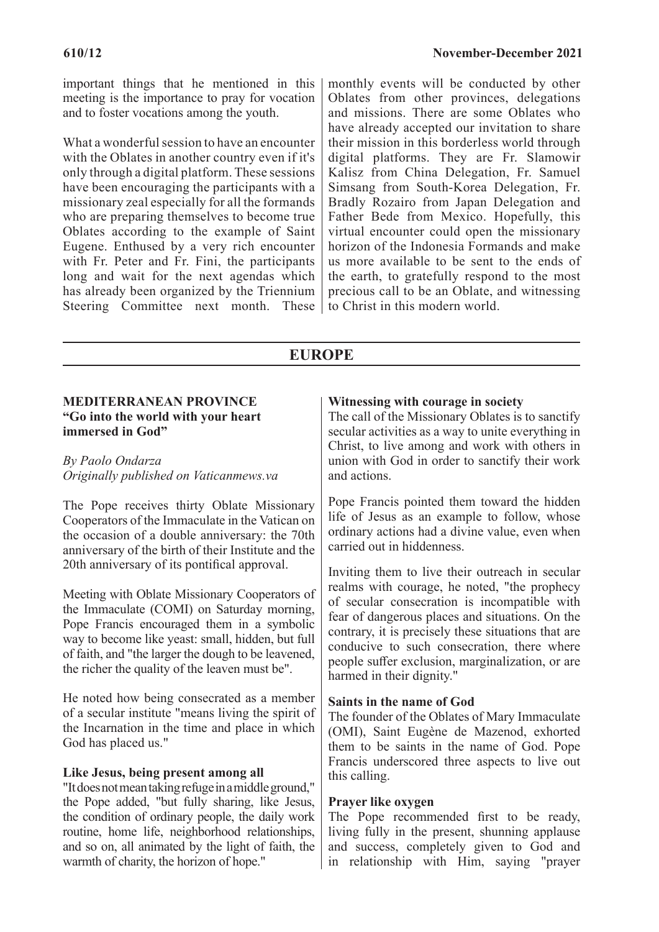important things that he mentioned in this meeting is the importance to pray for vocation and to foster vocations among the youth.

What a wonderful session to have an encounter with the Oblates in another country even if it's only through a digital platform. These sessions have been encouraging the participants with a missionary zeal especially for all the formands who are preparing themselves to become true Oblates according to the example of Saint Eugene. Enthused by a very rich encounter with Fr. Peter and Fr. Fini, the participants long and wait for the next agendas which has already been organized by the Triennium Steering Committee next month. These monthly events will be conducted by other Oblates from other provinces, delegations and missions. There are some Oblates who have already accepted our invitation to share their mission in this borderless world through digital platforms. They are Fr. Slamowir Kalisz from China Delegation, Fr. Samuel Simsang from South-Korea Delegation, Fr. Bradly Rozairo from Japan Delegation and Father Bede from Mexico. Hopefully, this virtual encounter could open the missionary horizon of the Indonesia Formands and make us more available to be sent to the ends of the earth, to gratefully respond to the most precious call to be an Oblate, and witnessing to Christ in this modern world.

# **EUROPE**

#### **MEDITERRANEAN PROVINCE "Go into the world with your heart immersed in God"**

### *By Paolo Ondarza Originally published on Vaticanmews.va*

The Pope receives thirty Oblate Missionary Cooperators of the Immaculate in the Vatican on the occasion of a double anniversary: the 70th anniversary of the birth of their Institute and the 20th anniversary of its pontifical approval.

Meeting with Oblate Missionary Cooperators of the Immaculate (COMI) on Saturday morning, Pope Francis encouraged them in a symbolic way to become like yeast: small, hidden, but full of faith, and "the larger the dough to be leavened, the richer the quality of the leaven must be".

He noted how being consecrated as a member of a secular institute "means living the spirit of the Incarnation in the time and place in which God has placed us."

### **Like Jesus, being present among all**

"It does not mean taking refuge in a middle ground," the Pope added, "but fully sharing, like Jesus, the condition of ordinary people, the daily work routine, home life, neighborhood relationships, and so on, all animated by the light of faith, the warmth of charity, the horizon of hope."

## **Witnessing with courage in society**

The call of the Missionary Oblates is to sanctify secular activities as a way to unite everything in Christ, to live among and work with others in union with God in order to sanctify their work and actions.

Pope Francis pointed them toward the hidden life of Jesus as an example to follow, whose ordinary actions had a divine value, even when carried out in hiddenness.

Inviting them to live their outreach in secular realms with courage, he noted, "the prophecy of secular consecration is incompatible with fear of dangerous places and situations. On the contrary, it is precisely these situations that are conducive to such consecration, there where people suffer exclusion, marginalization, or are harmed in their dignity."

### **Saints in the name of God**

The founder of the Oblates of Mary Immaculate (OMI), Saint Eugène de Mazenod, exhorted them to be saints in the name of God. Pope Francis underscored three aspects to live out this calling.

#### **Prayer like oxygen**

The Pope recommended first to be ready, living fully in the present, shunning applause and success, completely given to God and in relationship with Him, saying "prayer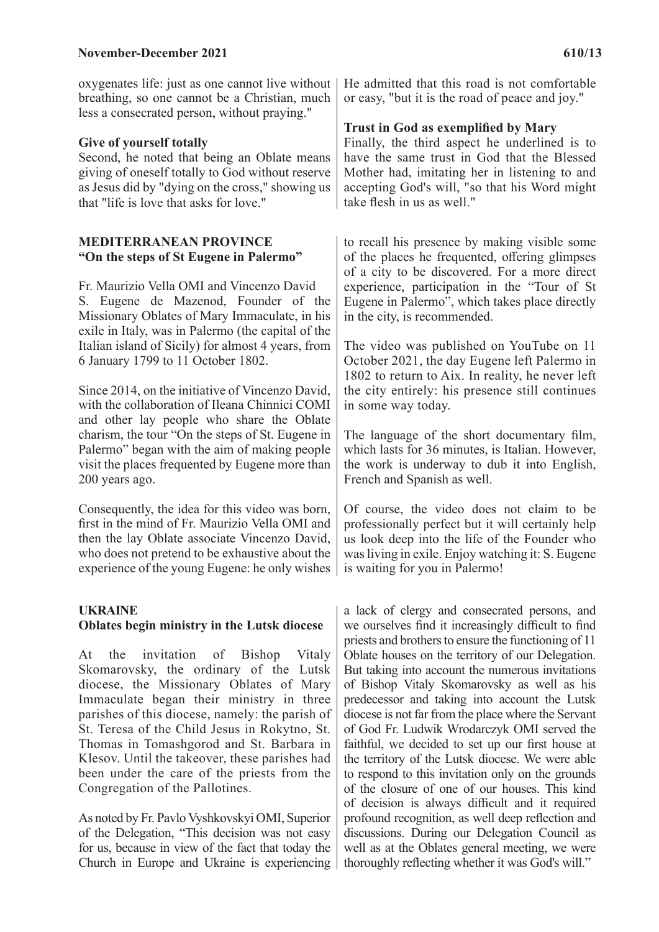#### **November-December 2021** 610/13

oxygenates life: just as one cannot live without breathing, so one cannot be a Christian, much less a consecrated person, without praying."

#### **Give of yourself totally**

Second, he noted that being an Oblate means giving of oneself totally to God without reserve as Jesus did by "dying on the cross," showing us that "life is love that asks for love."

#### **MEDITERRANEAN PROVINCE "On the steps of St Eugene in Palermo"**

Fr. Maurizio Vella OMI and Vincenzo David S. Eugene de Mazenod, Founder of the Missionary Oblates of Mary Immaculate, in his exile in Italy, was in Palermo (the capital of the Italian island of Sicily) for almost 4 years, from 6 January 1799 to 11 October 1802.

Since 2014, on the initiative of Vincenzo David, with the collaboration of Ileana Chinnici COMI and other lay people who share the Oblate charism, the tour "On the steps of St. Eugene in Palermo" began with the aim of making people visit the places frequented by Eugene more than 200 years ago.

Consequently, the idea for this video was born, first in the mind of Fr. Maurizio Vella OMI and then the lay Oblate associate Vincenzo David, who does not pretend to be exhaustive about the experience of the young Eugene: he only wishes

#### **UKRAINE Oblates begin ministry in the Lutsk diocese**

At the invitation of Bishop Vitaly Skomarovsky, the ordinary of the Lutsk diocese, the Missionary Oblates of Mary Immaculate began their ministry in three parishes of this diocese, namely: the parish of St. Teresa of the Child Jesus in Rokytno, St. Thomas in Tomashgorod and St. Barbara in Klesov. Until the takeover, these parishes had been under the care of the priests from the Congregation of the Pallotines.

As noted by Fr. Pavlo Vyshkovskyi OMI, Superior of the Delegation, "This decision was not easy for us, because in view of the fact that today the Church in Europe and Ukraine is experiencing

He admitted that this road is not comfortable or easy, "but it is the road of peace and joy."

#### **Trust in God as exemplified by Mary**

Finally, the third aspect he underlined is to have the same trust in God that the Blessed Mother had, imitating her in listening to and accepting God's will, "so that his Word might take flesh in us as well."

to recall his presence by making visible some of the places he frequented, offering glimpses of a city to be discovered. For a more direct experience, participation in the "Tour of St Eugene in Palermo", which takes place directly in the city, is recommended.

The video was published on YouTube on 11 October 2021, the day Eugene left Palermo in 1802 to return to Aix. In reality, he never left the city entirely: his presence still continues in some way today.

The language of the short documentary film, which lasts for 36 minutes, is Italian. However, the work is underway to dub it into English, French and Spanish as well.

Of course, the video does not claim to be professionally perfect but it will certainly help us look deep into the life of the Founder who was living in exile. Enjoy watching it: S. Eugene is waiting for you in Palermo!

a lack of clergy and consecrated persons, and we ourselves find it increasingly difficult to find priests and brothers to ensure the functioning of 11 Oblate houses on the territory of our Delegation. But taking into account the numerous invitations of Bishop Vitaly Skomarovsky as well as his predecessor and taking into account the Lutsk diocese is not far from the place where the Servant of God Fr. Ludwik Wrodarczyk OMI served the faithful, we decided to set up our first house at the territory of the Lutsk diocese. We were able to respond to this invitation only on the grounds of the closure of one of our houses. This kind of decision is always difficult and it required profound recognition, as well deep reflection and discussions. During our Delegation Council as well as at the Oblates general meeting, we were thoroughly reflecting whether it was God's will."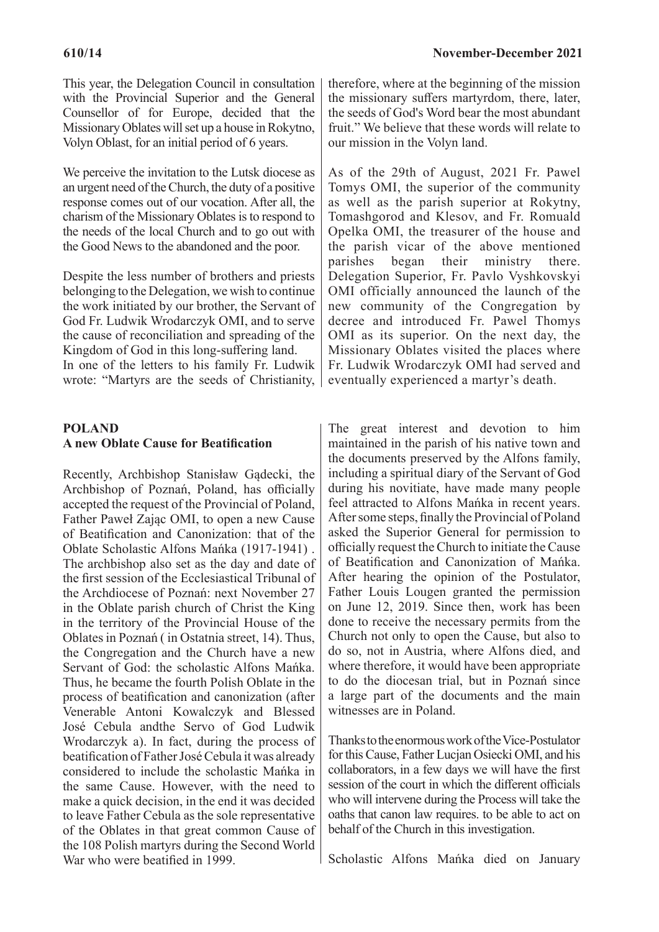We perceive the invitation to the Lutsk diocese as an urgent need of the Church, the duty of a positive response comes out of our vocation. After all, the charism of the Missionary Oblates is to respond to the needs of the local Church and to go out with the Good News to the abandoned and the poor.

Despite the less number of brothers and priests belonging to the Delegation, we wish to continue the work initiated by our brother, the Servant of God Fr. Ludwik Wrodarczyk OMI, and to serve the cause of reconciliation and spreading of the Kingdom of God in this long-suffering land. In one of the letters to his family Fr. Ludwik wrote: "Martyrs are the seeds of Christianity,

## **POLAND A new Oblate Cause for Beatification**

Recently, Archbishop Stanisław Gądecki, the Archbishop of Poznań, Poland, has officially accepted the request of the Provincial of Poland, Father Paweł Zając OMI, to open a new Cause of Beatification and Canonization: that of the Oblate Scholastic Alfons Mańka (1917-1941) . The archbishop also set as the day and date of the first session of the Ecclesiastical Tribunal of the Archdiocese of Poznań: next November 27 in the Oblate parish church of Christ the King in the territory of the Provincial House of the Oblates in Poznań ( in Ostatnia street, 14). Thus, the Congregation and the Church have a new Servant of God: the scholastic Alfons Mańka. Thus, he became the fourth Polish Oblate in the process of beatification and canonization (after Venerable Antoni Kowalczyk and Blessed José Cebula andthe Servo of God Ludwik Wrodarczyk a). In fact, during the process of beatification of Father José Cebula it was already considered to include the scholastic Mańka in the same Cause. However, with the need to make a quick decision, in the end it was decided to leave Father Cebula as the sole representative of the Oblates in that great common Cause of the 108 Polish martyrs during the Second World War who were beatified in 1999.

therefore, where at the beginning of the mission the missionary suffers martyrdom, there, later, the seeds of God's Word bear the most abundant fruit." We believe that these words will relate to our mission in the Volyn land.

As of the 29th of August, 2021 Fr. Pawel Tomys OMІ, the superior of the community as well as the parish superior at Rokytny, Tomashgorod and Klesov, and Fr. Romuald Opelka ОМІ, the treasurer of the house and the parish vicar of the above mentioned parishes began their ministry there. Delegation Superior, Fr. Pavlo Vyshkovskyi OMI officially announced the launch of the new community of the Congregation by decree and introduced Fr. Pawel Thomys OMI as its superior. On the next day, the Missionary Oblates visited the places where Fr. Ludwik Wrodarczyk OMI had served and eventually experienced a martyr's death.

The great interest and devotion to him maintained in the parish of his native town and the documents preserved by the Alfons family, including a spiritual diary of the Servant of God during his novitiate, have made many people feel attracted to Alfons Mańka in recent years. After some steps, finally the Provincial of Poland asked the Superior General for permission to officially request the Church to initiate the Cause of Beatification and Canonization of Mańka. After hearing the opinion of the Postulator, Father Louis Lougen granted the permission on June 12, 2019. Since then, work has been done to receive the necessary permits from the Church not only to open the Cause, but also to do so, not in Austria, where Alfons died, and where therefore, it would have been appropriate to do the diocesan trial, but in Poznań since a large part of the documents and the main witnesses are in Poland.

Thanks to the enormous work of the Vice-Postulator for this Cause, Father Lucjan Osiecki OMI, and his collaborators, in a few days we will have the first session of the court in which the different officials who will intervene during the Process will take the oaths that canon law requires. to be able to act on behalf of the Church in this investigation.

Scholastic Alfons Mańka died on January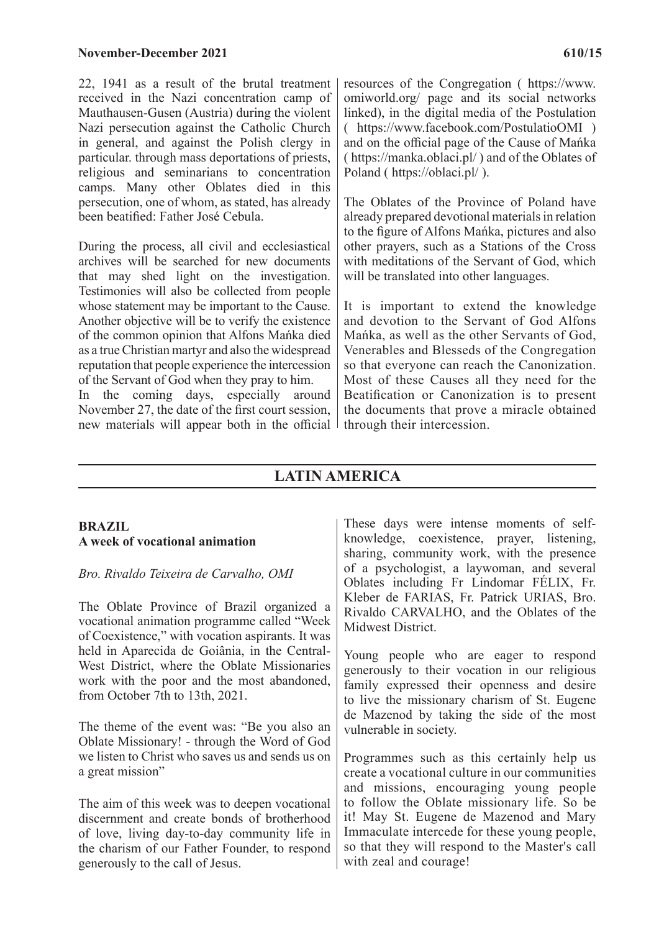22, 1941 as a result of the brutal treatment received in the Nazi concentration camp of Mauthausen-Gusen (Austria) during the violent Nazi persecution against the Catholic Church in general, and against the Polish clergy in particular. through mass deportations of priests, religious and seminarians to concentration camps. Many other Oblates died in this persecution, one of whom, as stated, has already been beatified: Father José Cebula.

During the process, all civil and ecclesiastical archives will be searched for new documents that may shed light on the investigation. Testimonies will also be collected from people whose statement may be important to the Cause. Another objective will be to verify the existence of the common opinion that Alfons Mańka died as a true Christian martyr and also the widespread reputation that people experience the intercession of the Servant of God when they pray to him.

In the coming days, especially around November 27, the date of the first court session, new materials will appear both in the official

omiworld.org/ page and its social networks linked), in the digital media of the Postulation ( https://www.facebook.com/PostulatioOMI ) and on the official page of the Cause of Mańka ( https://manka.oblaci.pl/ ) and of the Oblates of Poland ( https://oblaci.pl/ ).

The Oblates of the Province of Poland have already prepared devotional materials in relation to the figure of Alfons Mańka, pictures and also other prayers, such as a Stations of the Cross with meditations of the Servant of God, which will be translated into other languages.

It is important to extend the knowledge and devotion to the Servant of God Alfons Mańka, as well as the other Servants of God, Venerables and Blesseds of the Congregation so that everyone can reach the Canonization. Most of these Causes all they need for the Beatification or Canonization is to present the documents that prove a miracle obtained through their intercession.

# **LATIN AMERICA**

#### **BRAZIL A week of vocational animation**

### *Bro. Rivaldo Teixeira de Carvalho, OMI*

The Oblate Province of Brazil organized a vocational animation programme called "Week of Coexistence," with vocation aspirants. It was held in Aparecida de Goiânia, in the Central-West District, where the Oblate Missionaries work with the poor and the most abandoned, from October 7th to 13th, 2021.

The theme of the event was: "Be you also an Oblate Missionary! - through the Word of God we listen to Christ who saves us and sends us on a great mission"

The aim of this week was to deepen vocational discernment and create bonds of brotherhood of love, living day-to-day community life in the charism of our Father Founder, to respond generously to the call of Jesus.

These days were intense moments of selfknowledge, coexistence, prayer, listening, sharing, community work, with the presence of a psychologist, a laywoman, and several Oblates including Fr Lindomar FÉLIX, Fr. Kleber de FARIAS, Fr. Patrick URIAS, Bro. Rivaldo CARVALHO, and the Oblates of the Midwest District.

Young people who are eager to respond generously to their vocation in our religious family expressed their openness and desire to live the missionary charism of St. Eugene de Mazenod by taking the side of the most vulnerable in society.

Programmes such as this certainly help us create a vocational culture in our communities and missions, encouraging young people to follow the Oblate missionary life. So be it! May St. Eugene de Mazenod and Mary Immaculate intercede for these young people, so that they will respond to the Master's call with zeal and courage!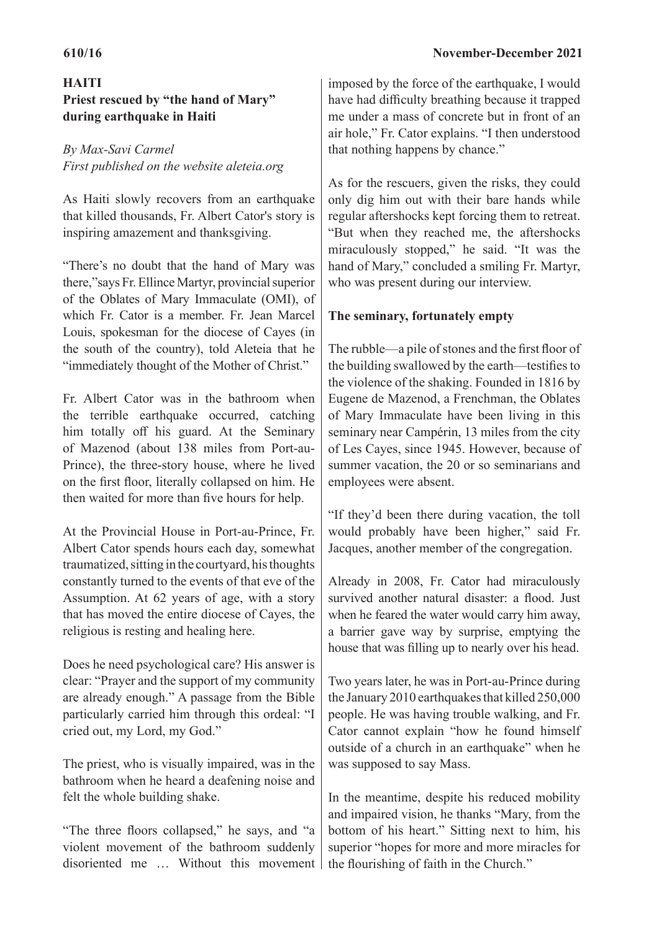# **HAITI Priest rescued by "the hand of Mary" during earthquake in Haiti**

# *By Max-Savi Carmel First published on the website aleteia.org*

As Haiti slowly recovers from an earthquake that killed thousands, Fr. Albert Cator's story is inspiring amazement and thanksgiving.

"There's no doubt that the hand of Mary was there,"says Fr. Ellince Martyr, provincial superior of the Oblates of Mary Immaculate (OMI), of which Fr. Cator is a member. Fr. Jean Marcel Louis, spokesman for the diocese of Cayes (in the south of the country), told Aleteia that he "immediately thought of the Mother of Christ."

Fr. Albert Cator was in the bathroom when the terrible earthquake occurred, catching him totally off his guard. At the Seminary of Mazenod (about 138 miles from Port-au-Prince), the three-story house, where he lived on the first floor, literally collapsed on him. He then waited for more than five hours for help.

At the Provincial House in Port-au-Prince, Fr. Albert Cator spends hours each day, somewhat traumatized, sitting in the courtyard, his thoughts constantly turned to the events of that eve of the Assumption. At 62 years of age, with a story that has moved the entire diocese of Cayes, the religious is resting and healing here.

Does he need psychological care? His answer is clear: "Prayer and the support of my community are already enough." A passage from the Bible particularly carried him through this ordeal: "I cried out, my Lord, my God."

The priest, who is visually impaired, was in the bathroom when he heard a deafening noise and felt the whole building shake.

"The three floors collapsed," he says, and "a violent movement of the bathroom suddenly disoriented me … Without this movement

imposed by the force of the earthquake, I would have had difficulty breathing because it trapped me under a mass of concrete but in front of an air hole," Fr. Cator explains. "I then understood that nothing happens by chance."

As for the rescuers, given the risks, they could only dig him out with their bare hands while regular aftershocks kept forcing them to retreat. "But when they reached me, the aftershocks miraculously stopped," he said. "It was the hand of Mary," concluded a smiling Fr. Martyr, who was present during our interview.

# **The seminary, fortunately empty**

The rubble—a pile of stones and the first floor of the building swallowed by the earth—testifies to the violence of the shaking. Founded in 1816 by Eugene de Mazenod, a Frenchman, the Oblates of Mary Immaculate have been living in this seminary near Campérin, 13 miles from the city of Les Cayes, since 1945. However, because of summer vacation, the 20 or so seminarians and employees were absent.

"If they'd been there during vacation, the toll would probably have been higher," said Fr. Jacques, another member of the congregation.

Already in 2008, Fr. Cator had miraculously survived another natural disaster: a flood. Just when he feared the water would carry him away, a barrier gave way by surprise, emptying the house that was filling up to nearly over his head.

Two years later, he was in Port-au-Prince during the January 2010 earthquakes that killed 250,000 people. He was having trouble walking, and Fr. Cator cannot explain "how he found himself outside of a church in an earthquake" when he was supposed to say Mass.

In the meantime, despite his reduced mobility and impaired vision, he thanks "Mary, from the bottom of his heart." Sitting next to him, his superior "hopes for more and more miracles for the flourishing of faith in the Church."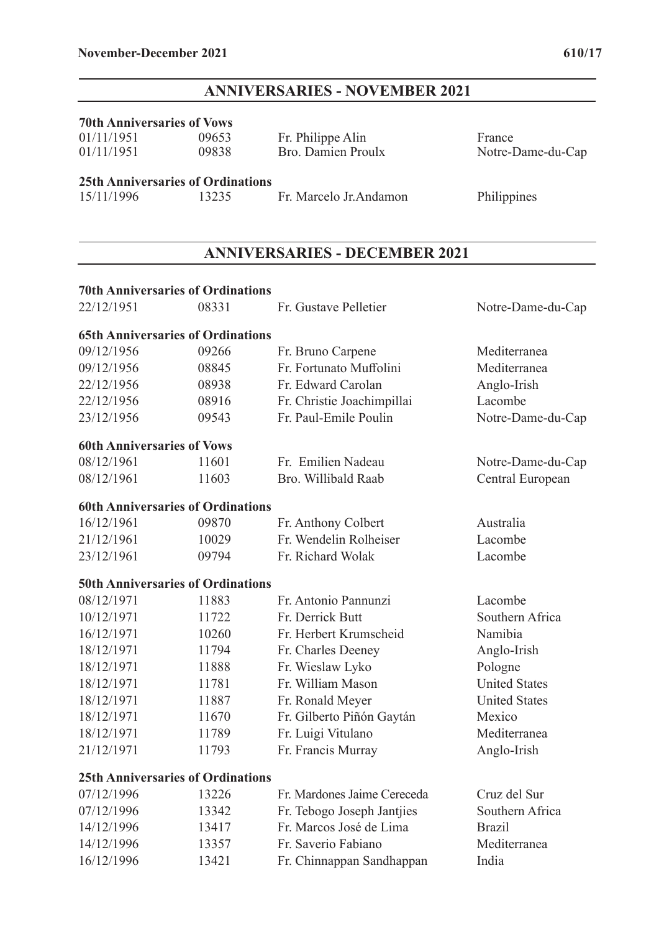**70th Anniversaries of Vows** 

# **ANNIVERSARIES - NOVEMBER 2021**

01/11/1951 09838 Bro. Damien Proulx Notre-Dame-du-Cap

01/11/1951 09653 Fr. Philippe Alin France<br>01/11/1951 09838 Bro. Damien Proulx Notre-I

| <b>25th Anniversaries of Ordinations</b> |                                      |                             |                      |  |  |  |  |  |
|------------------------------------------|--------------------------------------|-----------------------------|----------------------|--|--|--|--|--|
| 15/11/1996                               | 13235                                | Fr. Marcelo Jr. Andamon     | Philippines          |  |  |  |  |  |
|                                          |                                      |                             |                      |  |  |  |  |  |
|                                          | <b>ANNIVERSARIES - DECEMBER 2021</b> |                             |                      |  |  |  |  |  |
| <b>70th Anniversaries of Ordinations</b> |                                      |                             |                      |  |  |  |  |  |
| 22/12/1951                               | 08331                                | Fr. Gustave Pelletier       | Notre-Dame-du-Cap    |  |  |  |  |  |
| <b>65th Anniversaries of Ordinations</b> |                                      |                             |                      |  |  |  |  |  |
| 09/12/1956                               | 09266                                | Fr. Bruno Carpene           | Mediterranea         |  |  |  |  |  |
| 09/12/1956                               | 08845                                | Fr. Fortunato Muffolini     | Mediterranea         |  |  |  |  |  |
| 22/12/1956                               | 08938                                | Fr. Edward Carolan          | Anglo-Irish          |  |  |  |  |  |
| 22/12/1956                               | 08916                                | Fr. Christie Joachimpillai  | Lacombe              |  |  |  |  |  |
| 23/12/1956                               | 09543                                | Fr. Paul-Emile Poulin       | Notre-Dame-du-Cap    |  |  |  |  |  |
| <b>60th Anniversaries of Vows</b>        |                                      |                             |                      |  |  |  |  |  |
| 08/12/1961                               | 11601                                | Fr. Emilien Nadeau          | Notre-Dame-du-Cap    |  |  |  |  |  |
| 08/12/1961                               | 11603                                | Bro. Willibald Raab         | Central European     |  |  |  |  |  |
| <b>60th Anniversaries of Ordinations</b> |                                      |                             |                      |  |  |  |  |  |
| 16/12/1961                               | 09870                                | Fr. Anthony Colbert         | Australia            |  |  |  |  |  |
| 21/12/1961                               | 10029                                | Fr. Wendelin Rolheiser      | Lacombe              |  |  |  |  |  |
| 23/12/1961                               | 09794                                | Fr. Richard Wolak           | Lacombe              |  |  |  |  |  |
| <b>50th Anniversaries of Ordinations</b> |                                      |                             |                      |  |  |  |  |  |
| 08/12/1971                               | 11883                                | Fr. Antonio Pannunzi        | Lacombe              |  |  |  |  |  |
| 10/12/1971                               | 11722                                | Fr. Derrick Butt            | Southern Africa      |  |  |  |  |  |
| 16/12/1971                               | 10260                                | Fr. Herbert Krumscheid      | Namibia              |  |  |  |  |  |
| 18/12/1971                               | 11794                                | Fr. Charles Deeney          | Anglo-Irish          |  |  |  |  |  |
| 18/12/1971                               | 11888                                | Fr. Wieslaw Lyko            | Pologne              |  |  |  |  |  |
| 18/12/1971                               | 11781                                | Fr. William Mason           | <b>United States</b> |  |  |  |  |  |
| 18/12/1971                               | 11887                                | Fr. Ronald Meyer            | <b>United States</b> |  |  |  |  |  |
| 18/12/1971                               | 11670                                | Fr. Gilberto Piñón Gaytán   | Mexico               |  |  |  |  |  |
| 18/12/1971                               | 11789                                | Fr. Luigi Vitulano          | Mediterranea         |  |  |  |  |  |
| 21/12/1971                               | 11793                                | Fr. Francis Murray          | Anglo-Irish          |  |  |  |  |  |
| <b>25th Anniversaries of Ordinations</b> |                                      |                             |                      |  |  |  |  |  |
| 07/12/1996                               | 13226                                | Fr. Mardones Jaime Cereceda | Cruz del Sur         |  |  |  |  |  |
| 07/12/1996                               | 13342                                | Fr. Tebogo Joseph Jantjies  | Southern Africa      |  |  |  |  |  |

16/12/1996 13421 Fr. Chinnappan Sandhappan India